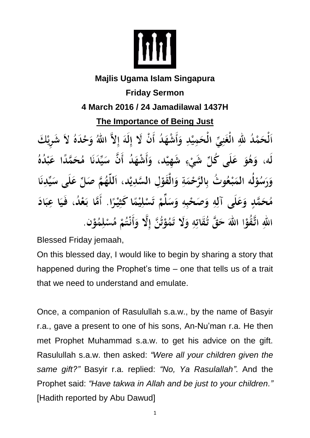

## **Majlis Ugama Islam Singapura Friday Sermon 4 March 2016 / 24 Jamadilawal 1437H The Importance of Being Just** ٱلْحَمْدُ للهِ الْغَنِيِّ الْحَمِيْدِ وَأَشْهَدُ أَنْ لَا إِلَهَ إِلاَّ اللهُ وَحْدَهُ لاَ شَرِيْكَ لَه، وَهُوَ عَلَى كُلِّ شَيْءٍ شَهِيْد، وَأَشْهَدُ أَنَّ سَيِّدَنَا مُحَمَّدًا عَبْدُهُ وَرَسُوْلُه المَبْعُوتُ بِالرَّحْمَةِ وَالْقَوْلِ السَّدِيْدِ، اَللَّهُمَّ صَلِّ عَلَى سَيِّدِنَا مُحَمَّدٍ وَعَلَى آلِهِ وَصَحْبِهِ وَسَلِّمْ تَسْلِيْمًا كَثِيْرًا. أَمَّا بَعْدُ، فَيَا عِبَادَ اللهِ اتَّقُوْا اللهَ حَقَّ تُقَاتِهِ وَلَا تَمُوْتُنَّ إِلَّا وَأَنْتُمْ مُسْلِمُوْنٍ.

Blessed Friday jemaah,

On this blessed day, I would like to begin by sharing a story that happened during the Prophet's time – one that tells us of a trait that we need to understand and emulate.

Once, a companion of Rasulullah s.a.w., by the name of Basyir r.a., gave a present to one of his sons, An-Nu'man r.a. He then met Prophet Muhammad s.a.w. to get his advice on the gift. Rasulullah s.a.w. then asked: *"Were all your children given the same gift?"* Basyir r.a. replied: *"No, Ya Rasulallah"*. And the Prophet said: *"Have takwa in Allah and be just to your children."* [Hadith reported by Abu Dawud]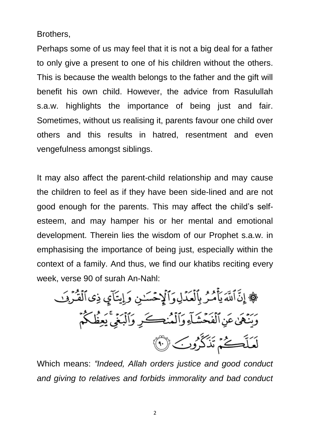Brothers,

Perhaps some of us may feel that it is not a big deal for a father to only give a present to one of his children without the others. This is because the wealth belongs to the father and the gift will benefit his own child. However, the advice from Rasulullah s.a.w. highlights the importance of being just and fair. Sometimes, without us realising it, parents favour one child over others and this results in hatred, resentment and even vengefulness amongst siblings.

It may also affect the parent-child relationship and may cause the children to feel as if they have been side-lined and are not good enough for the parents. This may affect the child's selfesteem, and may hamper his or her mental and emotional development. Therein lies the wisdom of our Prophet s.a.w. in emphasising the importance of being just, especially within the context of a family. And thus, we find our khatibs reciting every week, verse 90 of surah An-Nahl:

١ٍ إِنَّ أَلَّدَ يَأَمُرُ بِأَلَعَدَّلِوَٲَلِّحُسَٰنِ وَ إِيتَاّمٍٍ وَنَاَقُرَّرِفَ  
وَينََّهَٰ عَنِ أَلَفَحُشَّاَءِ وَاَلَمُنِڪَرِ وَاَلَبَغِّ يَعِفُكُمُ
$$
\widehat{S}
$$
هَ

Which means: *"Indeed, Allah orders justice and good conduct and giving to relatives and forbids immorality and bad conduct*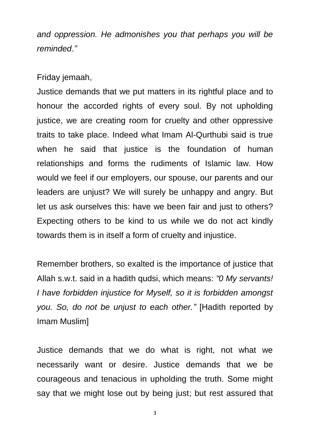*and oppression. He admonishes you that perhaps you will be reminded*.*"*

Friday jemaah,

Justice demands that we put matters in its rightful place and to honour the accorded rights of every soul. By not upholding justice, we are creating room for cruelty and other oppressive traits to take place. Indeed what Imam Al-Qurthubi said is true when he said that justice is the foundation of human relationships and forms the rudiments of Islamic law. How would we feel if our employers, our spouse, our parents and our leaders are unjust? We will surely be unhappy and angry. But let us ask ourselves this: have we been fair and just to others? Expecting others to be kind to us while we do not act kindly towards them is in itself a form of cruelty and injustice.

Remember brothers, so exalted is the importance of justice that Allah s.w.t. said in a hadith qudsi, which means: *"0 My servants! I have forbidden injustice for Myself, so it is forbidden amongst you. So, do not be unjust to each other."* [Hadith reported by Imam Muslim]

Justice demands that we do what is right, not what we necessarily want or desire. Justice demands that we be courageous and tenacious in upholding the truth. Some might say that we might lose out by being just; but rest assured that

3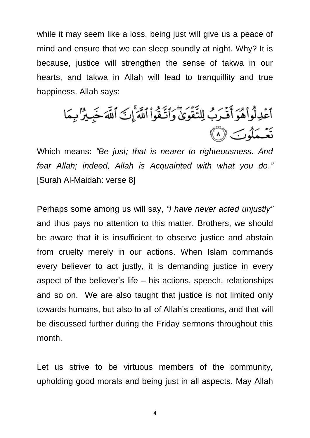while it may seem like a loss, being just will give us a peace of mind and ensure that we can sleep soundly at night. Why? It is because, justice will strengthen the sense of takwa in our hearts, and takwa in Allah will lead to tranquillity and true happiness. Allah says:

ٱعۡذِلُوا۟هُوَ أَقۡدَبُ لِلتَّقُوَىٰٓ وَٱتَّـقُوا۟ ٱللَّهَ ۚإِنَّ ٱللَّهَ خَبِيرٌ بِمَا<br>نَعۡـمَلُوبَ ۞

Which means: *"Be just; that is nearer to righteousness. And fear Allah; indeed, Allah is Acquainted with what you do*.*"* [Surah Al-Maidah: verse 8]

Perhaps some among us will say, *"I have never acted unjustly"* and thus pays no attention to this matter. Brothers, we should be aware that it is insufficient to observe justice and abstain from cruelty merely in our actions. When Islam commands every believer to act justly, it is demanding justice in every aspect of the believer's life – his actions, speech, relationships and so on. We are also taught that justice is not limited only towards humans, but also to all of Allah's creations, and that will be discussed further during the Friday sermons throughout this month.

Let us strive to be virtuous members of the community, upholding good morals and being just in all aspects. May Allah

4